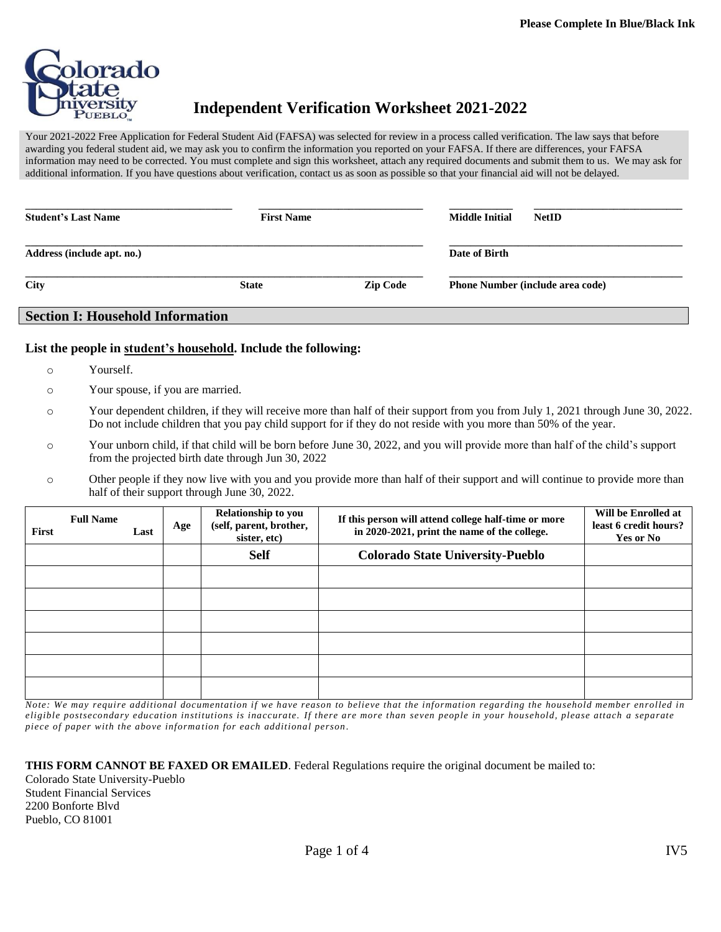

# **Independent Verification Worksheet 2021-2022**

Your 2021-2022 Free Application for Federal Student Aid (FAFSA) was selected for review in a process called verification. The law says that before awarding you federal student aid, we may ask you to confirm the information you reported on your FAFSA. If there are differences, your FAFSA information may need to be corrected. You must complete and sign this worksheet, attach any required documents and submit them to us. We may ask for additional information. If you have questions about verification, contact us as soon as possible so that your financial aid will not be delayed.

| <b>Student's Last Name</b> | <b>First Name</b> |                 | <b>Middle Initial</b>                   | <b>NetID</b> |  |
|----------------------------|-------------------|-----------------|-----------------------------------------|--------------|--|
| Address (include apt. no.) |                   |                 | Date of Birth                           |              |  |
| <b>City</b>                | <b>State</b>      | <b>Zip Code</b> | <b>Phone Number (include area code)</b> |              |  |

### **List the people in student's household. Include the following:**

- o Yourself.
- o Your spouse, if you are married.

**Section I: Household Information**

- o Your dependent children, if they will receive more than half of their support from you from July 1, 2021 through June 30, 2022. Do not include children that you pay child support for if they do not reside with you more than 50% of the year.
- o Your unborn child, if that child will be born before June 30, 2022, and you will provide more than half of the child's support from the projected birth date through Jun 30, 2022
- o Other people if they now live with you and you provide more than half of their support and will continue to provide more than half of their support through June 30, 2022.

| First | <b>Full Name</b> | Last | Age | Relationship to you<br>(self, parent, brother,<br>sister, etc) | If this person will attend college half-time or more<br>in 2020-2021, print the name of the college. | Will be Enrolled at<br>least 6 credit hours?<br><b>Yes or No</b> |
|-------|------------------|------|-----|----------------------------------------------------------------|------------------------------------------------------------------------------------------------------|------------------------------------------------------------------|
|       |                  |      |     | <b>Self</b>                                                    | <b>Colorado State University-Pueblo</b>                                                              |                                                                  |
|       |                  |      |     |                                                                |                                                                                                      |                                                                  |
|       |                  |      |     |                                                                |                                                                                                      |                                                                  |
|       |                  |      |     |                                                                |                                                                                                      |                                                                  |
|       |                  |      |     |                                                                |                                                                                                      |                                                                  |
|       |                  |      |     |                                                                |                                                                                                      |                                                                  |
|       |                  |      |     |                                                                |                                                                                                      |                                                                  |

*Note: We may require additional documentation if we have reason to believe that the information regarding the household member enrolled in eligible postsecondary education institutions is inaccurate. If there are more than seven people in your household, please attach a separate piece of paper with the above informa tion for each additional person .*

**THIS FORM CANNOT BE FAXED OR EMAILED**. Federal Regulations require the original document be mailed to: Colorado State University-Pueblo Student Financial Services 2200 Bonforte Blvd Pueblo, CO 81001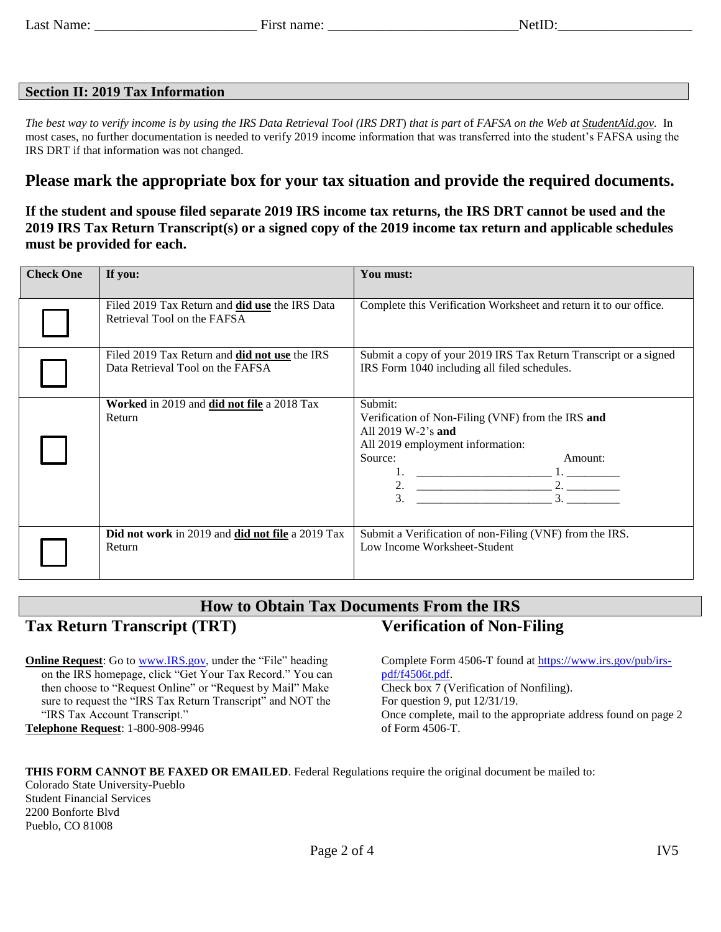## **Section II: 2019 Tax Information**

*The best way to verify income is by using the IRS Data Retrieval Tool (IRS DRT*) *that is part o*f *FAFSA on the Web at StudentAid.gov.* In most cases, no further documentation is needed to verify 2019 income information that was transferred into the student's FAFSA using the IRS DRT if that information was not changed.

## **Please mark the appropriate box for your tax situation and provide the required documents.**

## **If the student and spouse filed separate 2019 IRS income tax returns, the IRS DRT cannot be used and the 2019 IRS Tax Return Transcript(s) or a signed copy of the 2019 income tax return and applicable schedules must be provided for each.**

| <b>Check One</b> | If you:                                                                              | You must:                                                                                                                                                                   |  |  |
|------------------|--------------------------------------------------------------------------------------|-----------------------------------------------------------------------------------------------------------------------------------------------------------------------------|--|--|
|                  | Filed 2019 Tax Return and <b>did use</b> the IRS Data<br>Retrieval Tool on the FAFSA | Complete this Verification Worksheet and return it to our office.                                                                                                           |  |  |
|                  | Filed 2019 Tax Return and did not use the IRS<br>Data Retrieval Tool on the FAFSA    | Submit a copy of your 2019 IRS Tax Return Transcript or a signed<br>IRS Form 1040 including all filed schedules.                                                            |  |  |
|                  | Worked in 2019 and did not file a 2018 Tax<br>Return                                 | Submit:<br>Verification of Non-Filing (VNF) from the IRS and<br>All $2019 W-2$ 's and<br>All 2019 employment information:<br>Source:<br>Amount:<br>2. $\qquad \qquad$<br>3. |  |  |
|                  | Did not work in 2019 and did not file a 2019 Tax<br>Return                           | Submit a Verification of non-Filing (VNF) from the IRS.<br>Low Income Worksheet-Student                                                                                     |  |  |

#### **How to Obtain Tax Documents From the IRS Tax Return Transcript (TRT) Verification of Non-Filing**

**Online Request:** Go t[o www.IRS.gov,](http://www.irs.gov/) under the "File" heading on the IRS homepage, click "Get Your Tax Record." You can then choose to "Request Online" or "Request by Mail" Make sure to request the "IRS Tax Return Transcript" and NOT the "IRS Tax Account Transcript." **Telephone Request**: 1-800-908-9946

Complete Form 4506-T found at [https://www.irs.gov/pub/irs](https://www.irs.gov/pub/irs-pdf/f4506t.pdf)[pdf/f4506t.pdf.](https://www.irs.gov/pub/irs-pdf/f4506t.pdf) Check box 7 (Verification of Nonfiling). For question 9, put 12/31/19. Once complete, mail to the appropriate address found on page 2

**THIS FORM CANNOT BE FAXED OR EMAILED**. Federal Regulations require the original document be mailed to:

Colorado State University-Pueblo Student Financial Services 2200 Bonforte Blvd Pueblo, CO 81008

of Form 4506-T.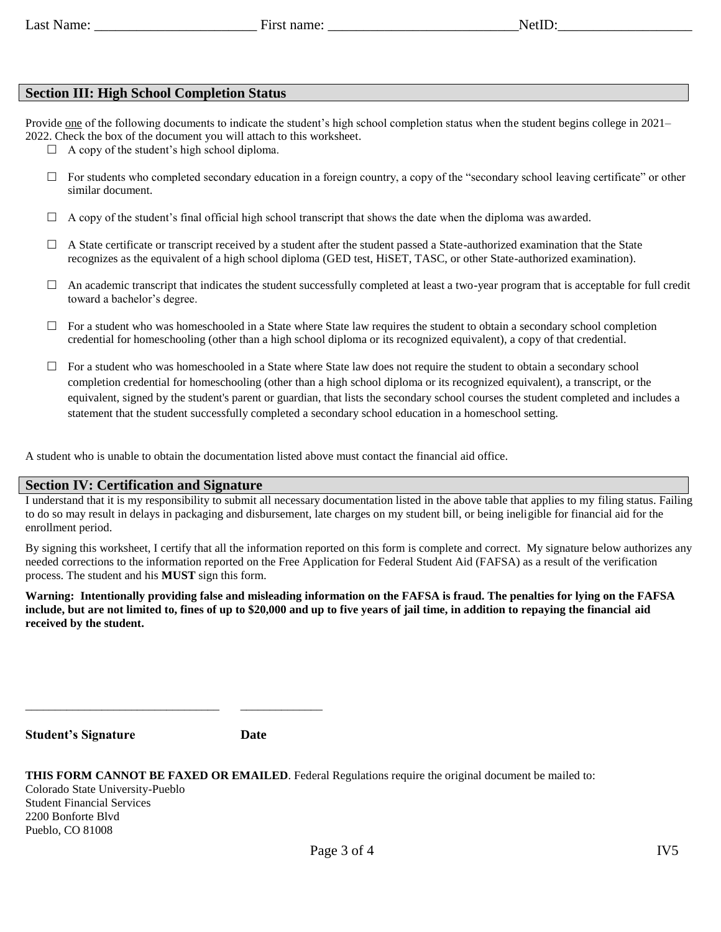## **Section III: High School Completion Status**

Provide one of the following documents to indicate the student's high school completion status when the student begins college in 2021– 2022. Check the box of the document you will attach to this worksheet.

 $\Box$  A copy of the student's high school diploma.

- $\Box$  For students who completed secondary education in a foreign country, a copy of the "secondary school leaving certificate" or other similar document.
- $\Box$  A copy of the student's final official high school transcript that shows the date when the diploma was awarded.
- $\Box$  A State certificate or transcript received by a student after the student passed a State-authorized examination that the State recognizes as the equivalent of a high school diploma (GED test, HiSET, TASC, or other State-authorized examination).
- $\Box$  An academic transcript that indicates the student successfully completed at least a two-year program that is acceptable for full credit toward a bachelor's degree.
- $\Box$  For a student who was homeschooled in a State where State law requires the student to obtain a secondary school completion credential for homeschooling (other than a high school diploma or its recognized equivalent), a copy of that credential.
- $\Box$  For a student who was homeschooled in a State where State law does not require the student to obtain a secondary school completion credential for homeschooling (other than a high school diploma or its recognized equivalent), a transcript, or the equivalent, signed by the student's parent or guardian, that lists the secondary school courses the student completed and includes a statement that the student successfully completed a secondary school education in a homeschool setting.

A student who is unable to obtain the documentation listed above must contact the financial aid office.

## **Section IV: Certification and Signature**

\_\_\_\_\_\_\_\_\_\_\_\_\_\_\_\_\_\_\_\_\_\_\_\_\_\_\_\_\_\_\_\_\_ \_\_\_\_\_\_\_\_\_\_\_\_\_\_

I understand that it is my responsibility to submit all necessary documentation listed in the above table that applies to my filing status. Failing to do so may result in delays in packaging and disbursement, late charges on my student bill, or being ineligible for financial aid for the enrollment period.

By signing this worksheet, I certify that all the information reported on this form is complete and correct. My signature below authorizes any needed corrections to the information reported on the Free Application for Federal Student Aid (FAFSA) as a result of the verification process. The student and his **MUST** sign this form.

**Warning: Intentionally providing false and misleading information on the FAFSA is fraud. The penalties for lying on the FAFSA include, but are not limited to, fines of up to \$20,000 and up to five years of jail time, in addition to repaying the financial aid received by the student.**

**Student's Signature Date**

| <b>THIS FORM CANNOT BE FAXED OR EMAILED.</b> Federal Regulations require the original document be mailed to: |  |
|--------------------------------------------------------------------------------------------------------------|--|
| Colorado State University-Pueblo                                                                             |  |
| <b>Student Financial Services</b>                                                                            |  |
| 2200 Bonforte Blvd                                                                                           |  |
| Pueblo, CO 81008                                                                                             |  |